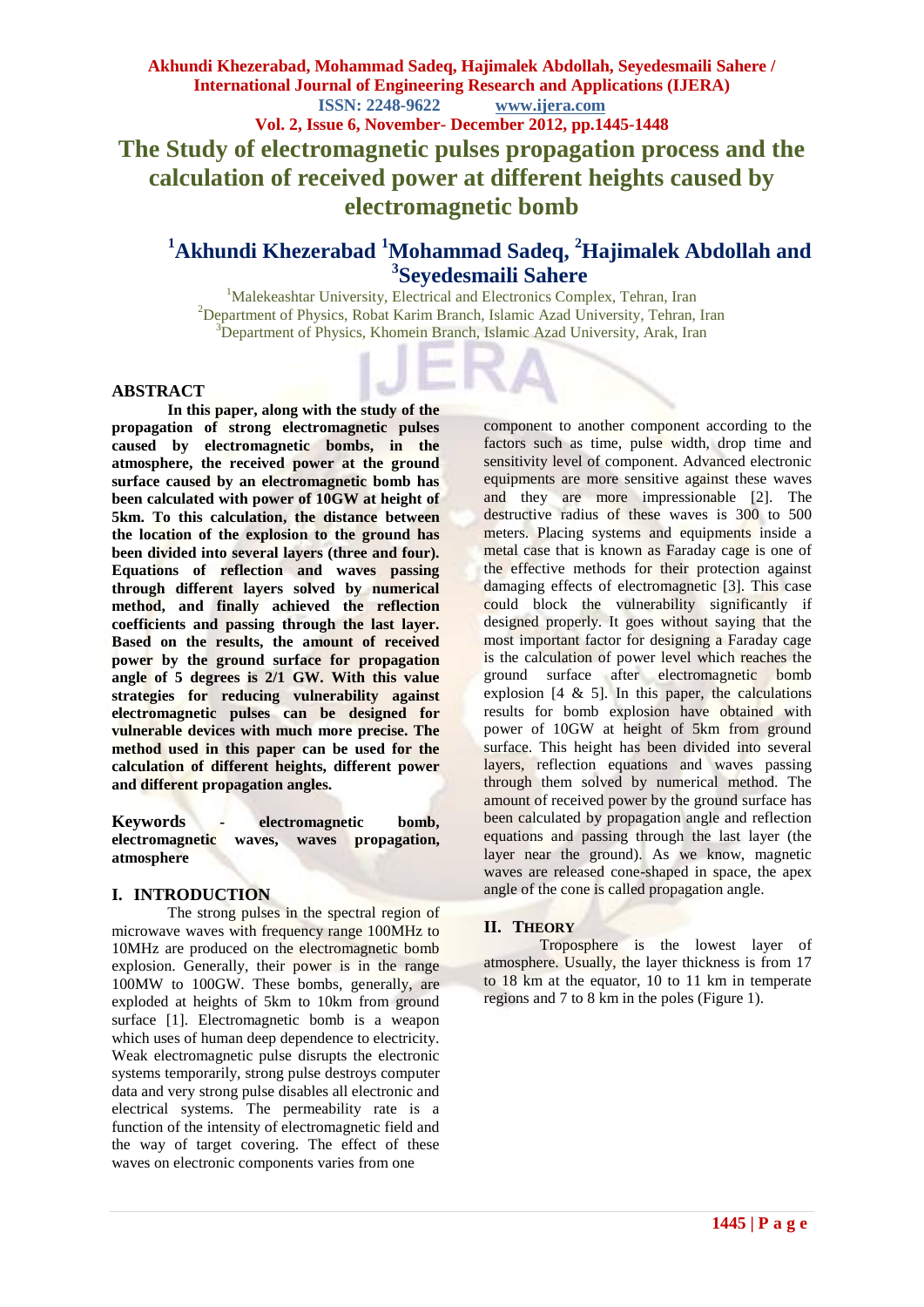# **Akhundi Khezerabad, Mohammad Sadeq, Hajimalek Abdollah, Seyedesmaili Sahere / International Journal of Engineering Research and Applications (IJERA) ISSN: 2248-9622 www.ijera.com Vol. 2, Issue 6, November- December 2012, pp.1445-1448 The Study of electromagnetic pulses propagation process and the calculation of received power at different heights caused by electromagnetic bomb**

# **<sup>1</sup>Akhundi Khezerabad <sup>1</sup>Mohammad Sadeq, <sup>2</sup>Hajimalek Abdollah and 3 Seyedesmaili Sahere**

<sup>1</sup>Malekeashtar University, Electrical and Electronics Complex, Tehran, Iran <sup>2</sup>Department of Physics, Robat Karim Branch, Islamic Azad University, Tehran, Iran <sup>3</sup>Department of Physics, Khomein Branch, Islamic Azad University, Arak, Iran

#### **ABSTRACT**

**In this paper, along with the study of the propagation of strong electromagnetic pulses caused by electromagnetic bombs, in the atmosphere, the received power at the ground surface caused by an electromagnetic bomb has been calculated with power of 10GW at height of 5km. To this calculation, the distance between the location of the explosion to the ground has been divided into several layers (three and four). Equations of reflection and waves passing through different layers solved by numerical method, and finally achieved the reflection coefficients and passing through the last layer. Based on the results, the amount of received power by the ground surface for propagation angle of 5 degrees is 2/1 GW. With this value strategies for reducing vulnerability against electromagnetic pulses can be designed for vulnerable devices with much more precise. The method used in this paper can be used for the calculation of different heights, different power and different propagation angles.**

**Keywords - electromagnetic bomb,**  waves, waves propagation, **atmosphere**

### **I. INTRODUCTION**

The strong pulses in the spectral region of microwave waves with frequency range 100MHz to 10MHz are produced on the electromagnetic bomb explosion. Generally, their power is in the range 100MW to 100GW. These bombs, generally, are exploded at heights of 5km to 10km from ground surface [1]. Electromagnetic bomb is a weapon which uses of human deep dependence to electricity. Weak electromagnetic pulse disrupts the electronic systems temporarily, strong pulse destroys computer data and very strong pulse disables all electronic and electrical systems. The permeability rate is a function of the intensity of electromagnetic field and the way of target covering. The effect of these waves on electronic components varies from one

component to another component according to the factors such as time, pulse width, drop time and sensitivity level of component. Advanced electronic equipments are more sensitive against these waves and they are more impressionable [2]. The destructive radius of these waves is 300 to 500 meters. Placing systems and equipments inside a metal case that is known as Faraday cage is one of the effective methods for their protection against damaging effects of electromagnetic [3]. This case could block the vulnerability significantly if designed properly. It goes without saying that the most important factor for designing a Faraday cage is the calculation of power level which reaches the ground surface after electromagnetic bomb explosion  $[4 \& 5]$ . In this paper, the calculations results for bomb explosion have obtained with power of 10GW at height of 5km from ground surface. This height has been divided into several layers, reflection equations and waves passing through them solved by numerical method. The amount of received power by the ground surface has been calculated by propagation angle and reflection equations and passing through the last layer (the layer near the ground). As we know, magnetic waves are released cone-shaped in space, the apex angle of the cone is called propagation angle.

### **II. THEORY**

Troposphere is the lowest layer of atmosphere. Usually, the layer thickness is from 17 to 18 km at the equator, 10 to 11 km in temperate regions and 7 to 8 km in the poles (Figure 1).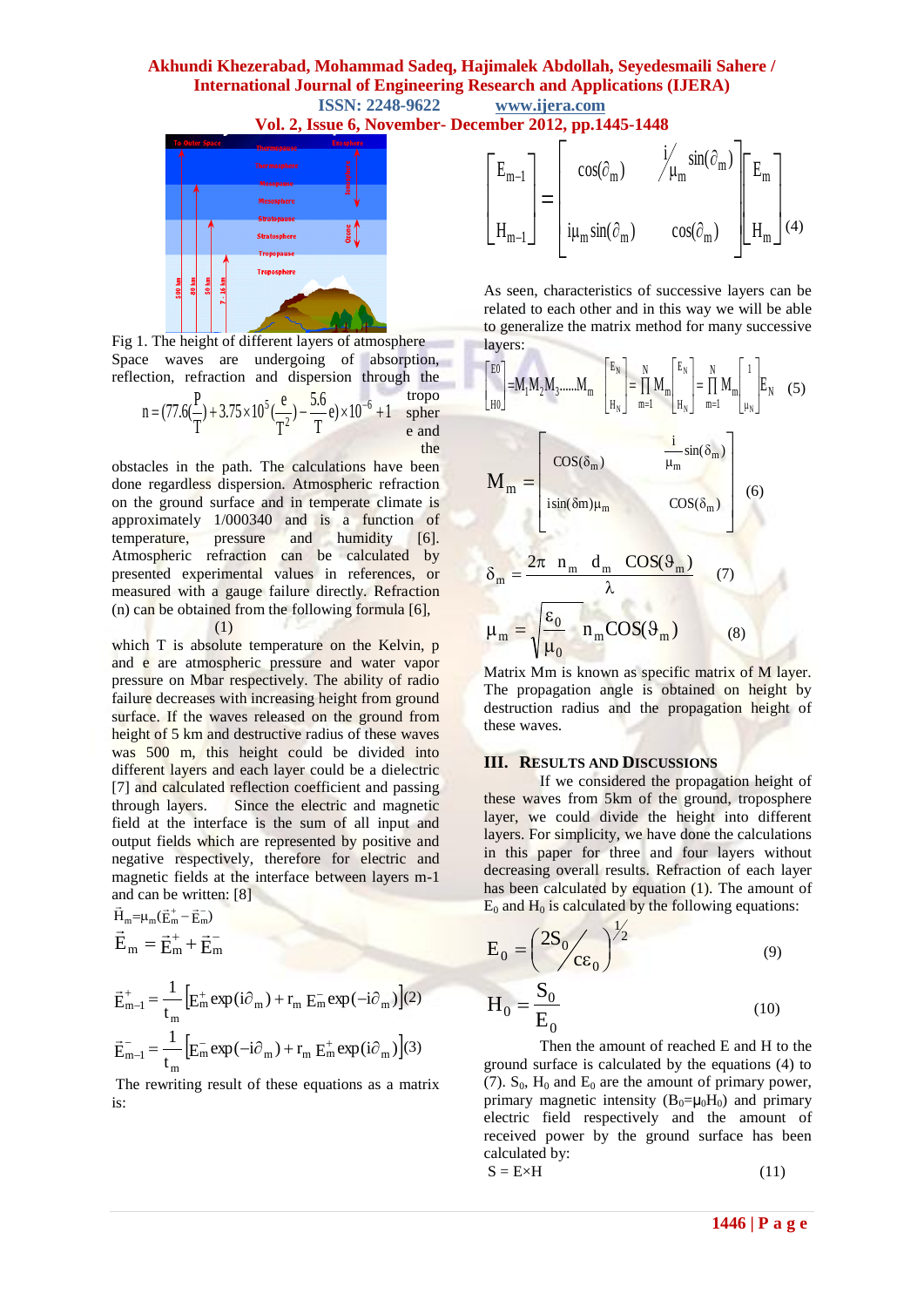# **Akhundi Khezerabad, Mohammad Sadeq, Hajimalek Abdollah, Seyedesmaili Sahere / International Journal of Engineering Research and Applications (IJERA) ISSN: 2248-9622 www.ijera.com**

**Vol. 2, Issue 6, November- December 2012, pp.1445-1448**



Fig 1. The height of different layers of atmosphere Space waves are undergoing of absorption, reflection, refraction and dispersion through the

n = 
$$
(77.6(\frac{P}{T}) + 3.75 \times 10^5(\frac{e}{T^2}) - \frac{5.6}{T}e) \times 10^{-6} + 1
$$
   
sphere  
the

obstacles in the path. The calculations have been done regardless dispersion. Atmospheric refraction on the ground surface and in temperate climate is approximately 1/000340 and is a function of temperature, pressure and humidity [6]. temperature, pressure and humidity [6]. Atmospheric refraction can be calculated by presented experimental values in references, or measured with a gauge failure directly. Refraction (n) can be obtained from the following formula  $[6]$ , (1)

which T is absolute temperature on the Kelvin, p and e are atmospheric pressure and water vapor pressure on Mbar respectively. The ability of radio failure decreases with increasing height from ground surface. If the waves released on the ground from height of 5 km and destructive radius of these waves was 500 m, this height could be divided into different layers and each layer could be a dielectric [7] and calculated reflection coefficient and passing through layers. Since the electric and magnetic field at the interface is the sum of all input and output fields which are represented by positive and negative respectively, therefore for electric and magnetic fields at the interface between layers m-1 and can be written:  $[8]$ 

$$
\vec{H}_{m} = \mu_{m} (\vec{E}_{m}^{+} - \vec{E}_{m}^{-})
$$
\n
$$
\vec{E}_{m} = \vec{E}_{m}^{+} + \vec{E}_{m}^{-}
$$
\n
$$
\vec{E}_{m-1}^{+} = \frac{1}{t_{m}} \left[ E_{m}^{+} \exp(i\partial_{m}) + r_{m} E_{m}^{-} \exp(-i\partial_{m}) \right]
$$
\n
$$
\vec{E}_{m-1}^{-} = \frac{1}{t_{m}} \left[ E_{m}^{-} \exp(-i\partial_{m}) + r_{m} E_{m}^{+} \exp(i\partial_{m}) \right]
$$

The rewriting result of these equations as a matrix is:

(2)

(3)

$$
\begin{bmatrix} E_{m-1} \\ H_{m-1} \end{bmatrix} = \begin{bmatrix} cos(\partial_m) & \mathcal{i}/\mu_m sin(\partial_m) \\ i\mu_m sin(\partial_m) & cos(\partial_m) \end{bmatrix} \begin{bmatrix} E_m \\ H_m \end{bmatrix} (4)
$$

As seen, characteristics of successive layers can be related to each other and in this way we will be able to generalize the matrix method for many successive layers:

$$
\begin{bmatrix} E^{0} \\ E^{0} \end{bmatrix} = M_{1}M_{2}M_{3}.....M_{m} \begin{bmatrix} E_{N} \\ H_{N} \end{bmatrix} = \prod_{m=1}^{N} M_{m} \begin{bmatrix} E_{N} \\ H_{N} \end{bmatrix} = \prod_{m=1}^{N} M_{m} \begin{bmatrix} 1 \\ \mu_{N} \end{bmatrix} E_{N} \quad (5)
$$

$$
M_{m} = \begin{bmatrix} \cos(\delta_{m}) & \frac{i}{\mu_{m}} \sin(\delta_{m}) \\ \sin(\delta m)\mu_{m} & \cos(\delta_{m}) \end{bmatrix}
$$
(6)  

$$
\delta_{m} = \frac{2\pi n_{m} d_{m} \cos(\vartheta_{m})}{\lambda}
$$
(7)  

$$
\mu_{m} = \sqrt{\frac{\epsilon_{0}}{\mu_{0}}} n_{m} \cos(\vartheta_{m})
$$
(8)

Matrix Mm is known as specific matrix of M layer. The propagation angle is obtained on height by destruction radius and the propagation height of these waves.

#### **III. RESULTS AND DISCUSSIONS**

If we considered the propagation height of these waves from 5km of the ground, troposphere layer, we could divide the height into different layers. For simplicity, we have done the calculations in this paper for three and four layers without decreasing overall results. Refraction of each layer has been calculated by equation (1). The amount of  $E_0$  and  $H_0$  is calculated by the following equations:

$$
E_0 = \left(\frac{2S_0}{c\epsilon_0}\right)^{1/2}
$$
(9)  

$$
H_0 = \frac{S_0}{E_0}
$$
(10)

Then the amount of reached E and H to the ground surface is calculated by the equations (4) to (7).  $S_0$ ,  $H_0$  and  $E_0$  are the amount of primary power, primary magnetic intensity  $(B_0= \mu_0H_0)$  and primary electric field respectively and the amount of received power by the ground surface has been calculated by:

$$
S = E \times H \tag{11}
$$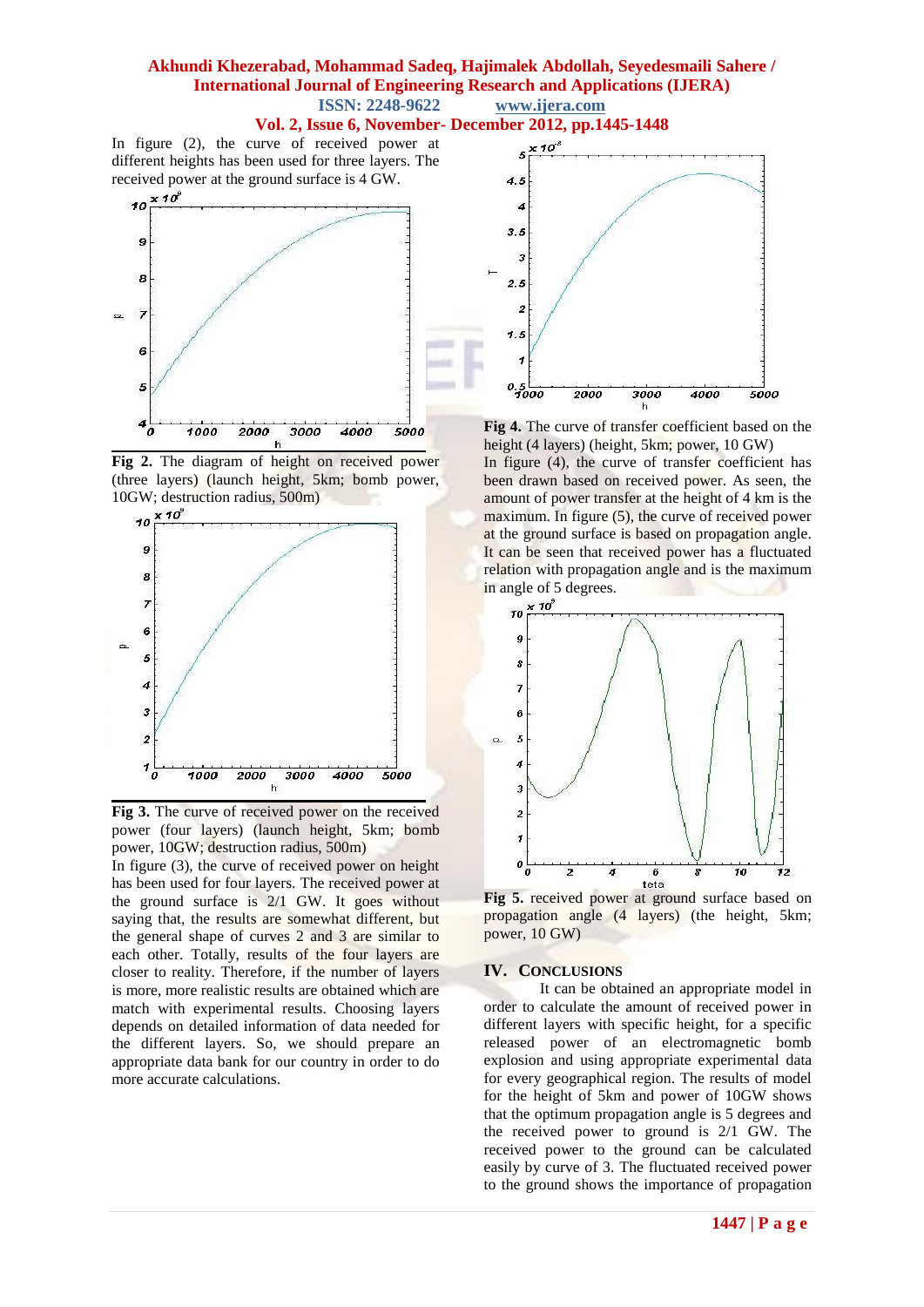#### **Akhundi Khezerabad, Mohammad Sadeq, Hajimalek Abdollah, Seyedesmaili Sahere / International Journal of Engineering Research and Applications (IJERA) ISSN: 2248-9622 www.ijera.com**

#### **Vol. 2, Issue 6, November- December 2012, pp.1445-1448**

In figure (2), the curve of received power at different heights has been used for three layers. The received power at the ground surface is 4 GW.



**Fig 2.** The diagram of height on received power (three layers) (launch height, 5km; bomb power, 10GW; destruction radius, 500m)



**Fig 3.** The curve of received power on the received power (four layers) (launch height, 5km; bomb power, 10GW; destruction radius, 500m)



**Fig 4.** The curve of transfer coefficient based on the height (4 layers) (height, 5km; power, 10 GW)

In figure (4), the curve of transfer coefficient has been drawn based on received power. As seen, the amount of power transfer at the height of 4 km is the maximum. In figure (5), the curve of received power at the ground surface is based on propagation angle. It can be seen that received power has a fluctuated relation with propagation angle and is the maximum





#### **IV. CONCLUSIONS**

It can be obtained an appropriate model in order to calculate the amount of received power in different layers with specific height, for a specific released power of an electromagnetic bomb explosion and using appropriate experimental data for every geographical region. The results of model for the height of 5km and power of 10GW shows that the optimum propagation angle is 5 degrees and the received power to ground is 2/1 GW. The received power to the ground can be calculated easily by curve of 3. The fluctuated received power to the ground shows the importance of propagation

In figure (3), the curve of received power on height has been used for four layers. The received power at the ground surface is 2/1 GW. It goes without saying that, the results are somewhat different, but the general shape of curves 2 and 3 are similar to each other. Totally, results of the four layers are closer to reality. Therefore, if the number of layers is more, more realistic results are obtained which are match with experimental results. Choosing layers depends on detailed information of data needed for the different layers. So, we should prepare an appropriate data bank for our country in order to do more accurate calculations.